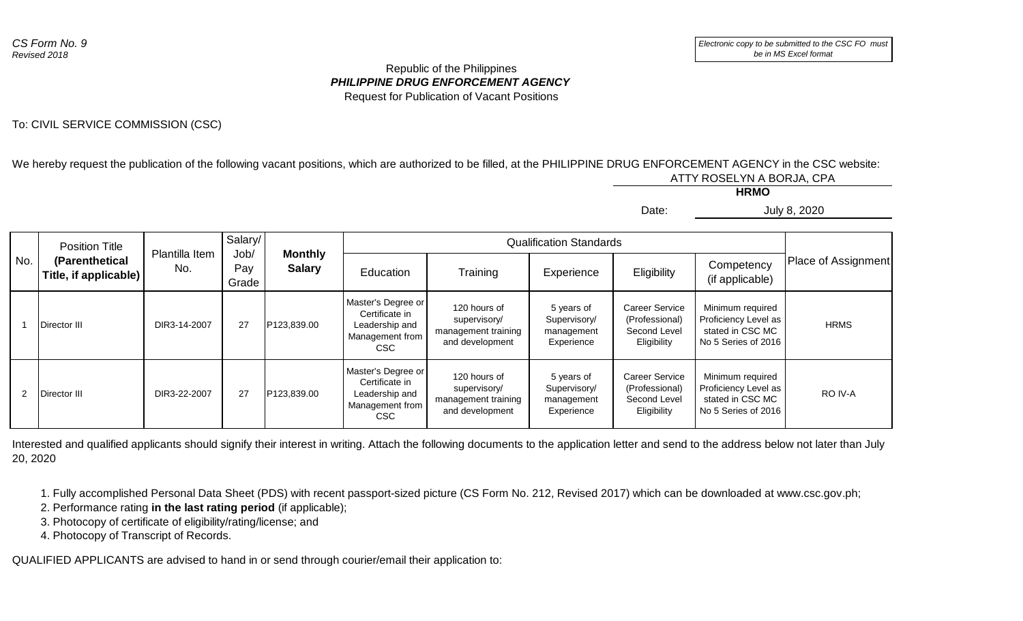## *PHILIPPINE DRUG ENFORCEMENT AGENCY* Republic of the Philippines Request for Publication of Vacant Positions

## To: CIVIL SERVICE COMMISSION (CSC)

We hereby request the publication of the following vacant positions, which are authorized to be filled, at the PHILIPPINE DRUG ENFORCEMENT AGENCY in the CSC website: ATTY ROSELYN A BORJA, CPA

**HRMO**

Date: July 8, 2020

| JUIV .<br>$\epsilon$ . |
|------------------------|
|------------------------|

| No.            | <b>Position Title</b><br>(Parenthetical<br>Title, if applicable) | Plantilla Item<br>No. | Salary/<br>Job/<br>Pay<br>Grade | <b>Monthly</b><br><b>Salary</b> | <b>Qualification Standards</b>                                                   |                                                                        |                                                        |                                                                        |                                                                                     |                     |
|----------------|------------------------------------------------------------------|-----------------------|---------------------------------|---------------------------------|----------------------------------------------------------------------------------|------------------------------------------------------------------------|--------------------------------------------------------|------------------------------------------------------------------------|-------------------------------------------------------------------------------------|---------------------|
|                |                                                                  |                       |                                 |                                 | Education                                                                        | Training                                                               | Experience                                             | Eligibility                                                            | Competency<br>(if applicable)                                                       | Place of Assignment |
|                | Director III                                                     | DIR3-14-2007          | 27                              | P123,839.00                     | Master's Degree or<br>Certificate in<br>Leadership and<br>Management from<br>CSC | 120 hours of<br>supervisory/<br>management training<br>and development | 5 years of<br>Supervisory/<br>management<br>Experience | <b>Career Service</b><br>(Professional)<br>Second Level<br>Eligibility | Minimum required<br>Proficiency Level as<br>stated in CSC MC<br>No 5 Series of 2016 | <b>HRMS</b>         |
| $\overline{2}$ | Director III                                                     | DIR3-22-2007          | 27                              | P123,839.00                     | Master's Degree or<br>Certificate in<br>Leadership and<br>Management from<br>CSC | 120 hours of<br>supervisory/<br>management training<br>and development | 5 years of<br>Supervisory/<br>management<br>Experience | <b>Career Service</b><br>(Professional)<br>Second Level<br>Eligibility | Minimum required<br>Proficiency Level as<br>stated in CSC MC<br>No 5 Series of 2016 | RO IV-A             |

Interested and qualified applicants should signify their interest in writing. Attach the following documents to the application letter and send to the address below not later than July 20, 2020

1. Fully accomplished Personal Data Sheet (PDS) with recent passport-sized picture (CS Form No. 212, Revised 2017) which can be downloaded at www.csc.gov.ph;

2. Performance rating **in the last rating period** (if applicable);

3. Photocopy of certificate of eligibility/rating/license; and

4. Photocopy of Transcript of Records.

QUALIFIED APPLICANTS are advised to hand in or send through courier/email their application to: